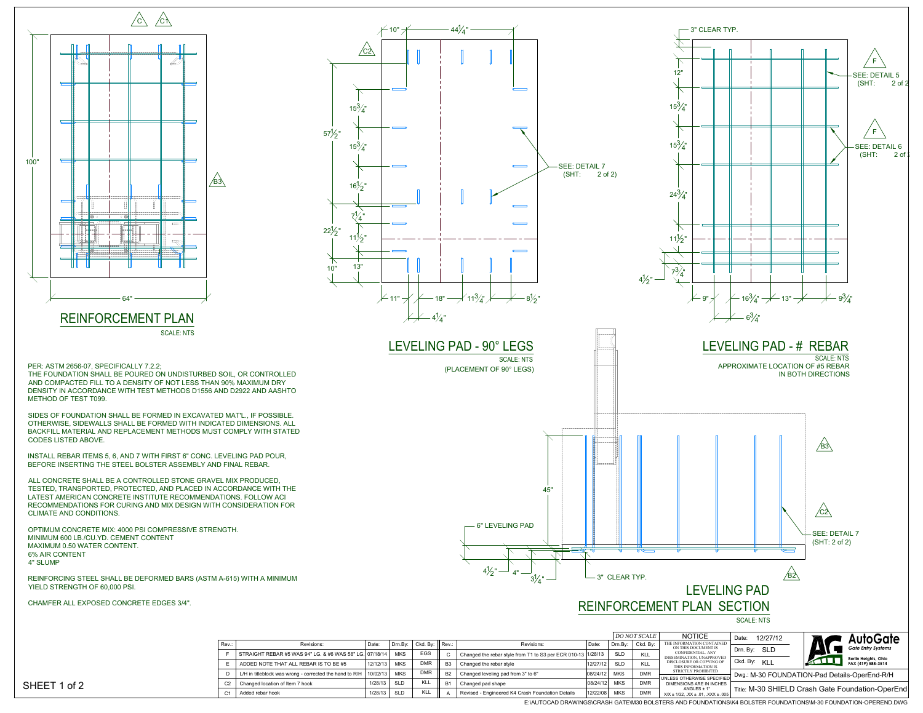PER: ASTM 2656-07, SPECIFICALLY 7.2.2;

THE FOUNDATION SHALL BE POURED ON UNDISTURBED SOIL, OR CONTROLLED AND COMPACTED FILL TO A DENSITY OF NOT LESS THAN 90% MAXIMUM DRY DENSITY IN ACCORDANCE WITH TEST METHODS D1556 AND D2922 AND AASHTO METHOD OF TEST T099.

SIDES OF FOUNDATION SHALL BE FORMED IN EXCAVATED MAT'L., IF POSSIBLE. OTHERWISE, SIDEWALLS SHALL BE FORMED WITH INDICATED DIMENSIONS. ALL BACKFILL MATERIAL AND REPLACEMENT METHODS MUST COMPLY WITH STATED CODES LISTED ABOVE.



INSTALL REBAR ITEMS 5, 6, AND 7 WITH FIRST 6" CONC. LEVELING PAD POUR, BEFORE INSERTING THE STEEL BOLSTER ASSEMBLY AND FINAL REBAR.

ALL CONCRETE SHALL BE A CONTROLLED STONE GRAVEL MIX PRODUCED, TESTED, TRANSPORTED, PROTECTED, AND PLACED IN ACCORDANCE WITH THE LATEST AMERICAN CONCRETE INSTITUTE RECOMMENDATIONS. FOLLOW ACI RECOMMENDATIONS FOR CURING AND MIX DESIGN WITH CONSIDERATION FOR CLIMATE AND CONDITIONS.

OPTIMUM CONCRETE MIX: 4000 PSI COMPRESSIVE STRENGTH. MINIMUM 600 LB./CU.YD. CEMENT CONTENT MAXIMUM 0.50 WATER CONTENT. 6% AIR CONTENT 4" SLUMP

REINFORCING STEEL SHALL BE DEFORMED BARS (ASTM A-615) WITH A MINIMUM YIELD STRENGTH OF 60,000 PSI.

CHAMFER ALL EXPOSED CONCRETE EDGES 3/4".

|  | 6" LEVELING P    |  |
|--|------------------|--|
|  |                  |  |
|  |                  |  |
|  |                  |  |
|  | $4\frac{1}{2}$ " |  |



| Rev.:          | Revisions:                                              | Date:    | Drn.Bv:                | Ckd. By: $\parallel$ Rev.: |                | Re                           |  |  |
|----------------|---------------------------------------------------------|----------|------------------------|----------------------------|----------------|------------------------------|--|--|
|                | STRAIGHT REBAR #5 WAS 94" LG. & #6 WAS 58" LG. 07/18/14 |          | <b>MKS</b>             | <b>EGS</b>                 | C              | Changed the rebar style from |  |  |
| F              | ADDED NOTE THAT ALL REBAR IS TO BE #5                   |          | <b>MKS</b><br>12/12/13 | <b>DMR</b>                 | B <sub>3</sub> | Changed the rebar style      |  |  |
| D              | L/H in titleblock was wrong - corrected the hand to R/H | 10/02/13 | <b>MKS</b>             | <b>DMR</b>                 | <b>B2</b>      | Changed leveling pad from 3" |  |  |
| C <sub>2</sub> | Changed location of Item 7 hook                         | 1/28/13  | <b>SLD</b>             | KLL                        | <b>B1</b>      | Changed pad shape            |  |  |
| C <sub>1</sub> | Added rebar hook                                        | 1/28/13  | <b>SLD</b>             | KLL                        | Α              | Revised - Engineered K4 Cras |  |  |

X/X ± 1/32, .XX ± .01, .XXX ± .005 E:\AUTOCAD DRAWINGS\CRASH GATE\M30 BOLSTERS AND FOUNDATIONS\K4 BOLSTER FOUNDATIONS\M-30 FOUNDATION-OPEREND.DWG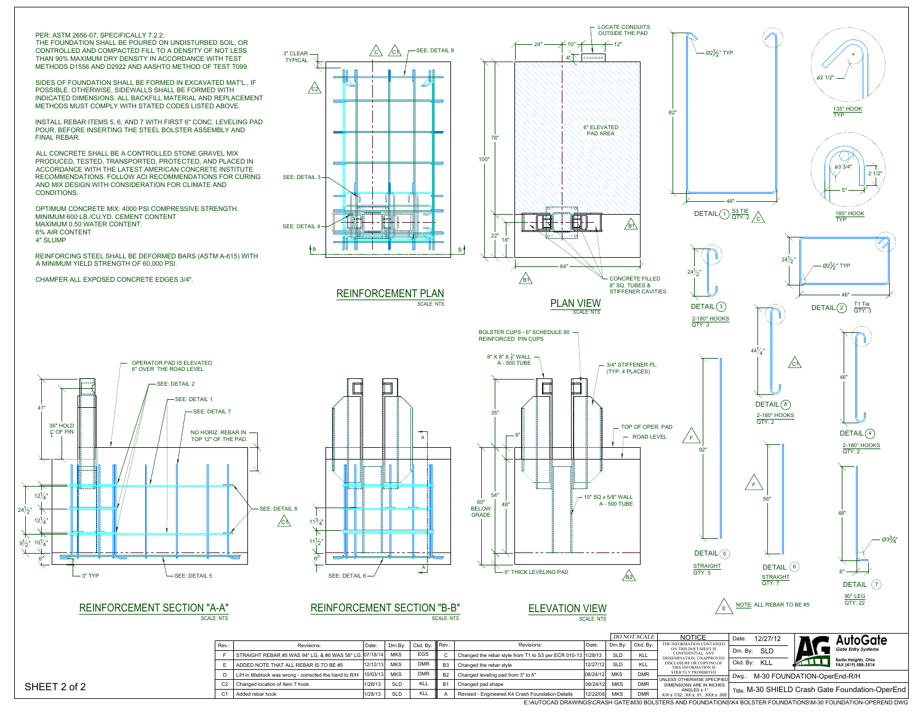REINFORCEMENT PLAN SCALE: NTS



## REINFORCEMENT SECTION "A-A"

SCALE: NTS

SCALE: NTS

THE FOUNDATION SHALL BE POURED ON UNDISTURBED SOIL, OR CONTROLLED AND COMPACTED FILL TO A DENSITY OF NOT LESS THAN 90% MAXIMUM DRY DENSITY IN ACCORDANCE WITH TEST METHODS D1556 AND D2922 AND AASHTO METHOD OF TEST T099.

SIDES OF FOUNDATION SHALL BE FORMED IN EXCAVATED MAT'L., IF POSSIBLE. OTHERWISE, SIDEWALLS SHALL BE FORMED WITH INDICATED DIMENSIONS. ALL BACKFILL MATERIAL AND REPLACEMENT METHODS MUST COMPLY WITH STATED CODES LISTED ABOVE.

INSTALL REBAR ITEMS 5, 6, AND 7 WITH FIRST 6" CONC. LEVELING PAD POUR, BEFORE INSERTING THE STEEL BOLSTER ASSEMBLY AND FINAL REBAR.

ALL CONCRETE SHALL BE A CONTROLLED STONE GRAVEL MIX PRODUCED, TESTED, TRANSPORTED, PROTECTED, AND PLACED IN ACCORDANCE WITH THE LATEST AMERICAN CONCRETE INSTITUTE RECOMMENDATIONS. FOLLOW ACI RECOMMENDATIONS FOR CURING AND MIX DESIGN WITH CONSIDERATION FOR CLIMATE AND CONDITIONS.

OPTIMUM CONCRETE MIX: 4000 PSI COMPRESSIVE STRENGTH. MINIMUM 600 LB./CU.YD. CEMENT CONTENT MAXIMUM 0.50 WATER CONTENT. 6% AIR CONTENT 4" SLUMP

REINFORCING STEEL SHALL BE DEFORMED BARS (ASTM A-615) WITH A MINIMUM YIELD STRENGTH OF 60,000 PSI.

CHAMFER ALL EXPOSED CONCRETE EDGES 3/4".



# REINFORCEMENT SECTION "B-B" ELEVATION VIEW

 ${\sf X/X} \pm 1/32,\ {\sf XX} \pm .01,\ {\sf XXX} \pm .005$ sh Foundation Details 12/22/08 MKS E:\AUTOCAD DRAWINGS\CRASH GATE\M30 BOLSTERS AND FOUNDATIONS\K4 BOLSTER FOUNDATIONS\M-30 FOUNDATION-OPEREND.DWG DMR







| Rev.:          | Revisions:                                              | Date:    | Drn.Bv:    | Ckd. Bv:                                                             | Rev.:          | Revisions:                                       |  | Drn.Bv:                                                               | Ckd. B                                            |
|----------------|---------------------------------------------------------|----------|------------|----------------------------------------------------------------------|----------------|--------------------------------------------------|--|-----------------------------------------------------------------------|---------------------------------------------------|
|                |                                                         |          | <b>MKS</b> | <b>EGS</b>                                                           | C              |                                                  |  | <b>SLD</b>                                                            | <b>KLL</b>                                        |
|                | ADDED NOTE THAT ALL REBAR IS TO BE #5                   | 12/12/13 | <b>MKS</b> | <b>DMR</b>                                                           | B <sub>3</sub> | Changed the rebar style                          |  | <b>SLD</b>                                                            | <b>KLL</b>                                        |
|                | L/H in titleblock was wrong - corrected the hand to R/H |          | <b>MKS</b> | <b>DMR</b>                                                           | B <sub>2</sub> | Changed leveling pad from 3" to 6"               |  | <b>MKS</b>                                                            | <b>DMR</b>                                        |
| C <sub>2</sub> | Changed location of Item 7 hook                         | 1/28/13  | <b>SLD</b> | KLL                                                                  | <b>B1</b>      | Changed pad shape                                |  | <b>MKS</b>                                                            | <b>DMR</b>                                        |
| C              | Added rebar hook                                        | 1/28/13  | <b>SLD</b> | <b>KLL</b>                                                           | A              | Revised - Engineered K4 Crash Foundation Details |  | <b>MKS</b>                                                            | <b>DMR</b>                                        |
|                |                                                         |          |            | STRAIGHT REBAR #5 WAS 94" LG. & #6 WAS 58" LG. 07/18/14<br> 10/03/13 |                |                                                  |  | Date:<br>Changed the rebar style from T1 to S3 per ECR 010-13 1/28/13 | 12/27/121<br> 08/24/12 <br> 08/24/12 <br>12/22/08 |

### SHEET 2 of 2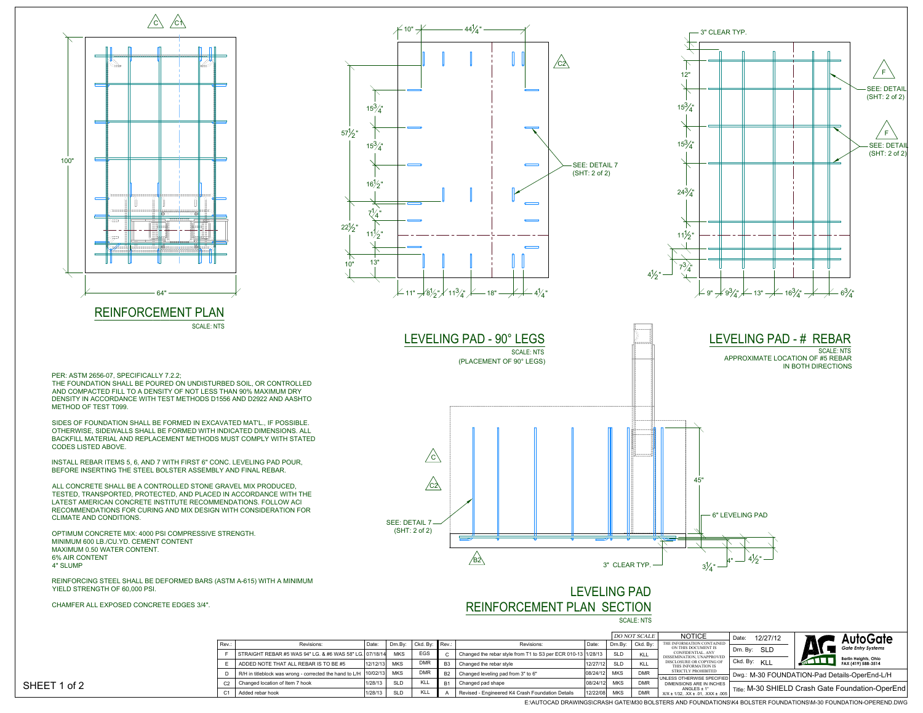THE FOUNDATION SHALL BE POURED ON UNDISTURBED SOIL, OR CONTROLLED AND COMPACTED FILL TO A DENSITY OF NOT LESS THAN 90% MAXIMUM DRY DENSITY IN ACCORDANCE WITH TEST METHODS D1556 AND D2922 AND AASHTO METHOD OF TEST T099.

SIDES OF FOUNDATION SHALL BE FORMED IN EXCAVATED MAT'L., IF POSSIBLE. OTHERWISE, SIDEWALLS SHALL BE FORMED WITH INDICATED DIMENSIONS. ALL BACKFILL MATERIAL AND REPLACEMENT METHODS MUST COMPLY WITH STATED CODES LISTED ABOVE.



INSTALL REBAR ITEMS 5, 6, AND 7 WITH FIRST 6" CONC. LEVELING PAD POUR, BEFORE INSERTING THE STEEL BOLSTER ASSEMBLY AND FINAL REBAR.

ALL CONCRETE SHALL BE A CONTROLLED STONE GRAVEL MIX PRODUCED, TESTED, TRANSPORTED, PROTECTED, AND PLACED IN ACCORDANCE WITH THE LATEST AMERICAN CONCRETE INSTITUTE RECOMMENDATIONS. FOLLOW ACI RECOMMENDATIONS FOR CURING AND MIX DESIGN WITH CONSIDERATION FOR CLIMATE AND CONDITIONS.



PER: ASTM 2656-07, SPECIFICALLY 7.2.2;

OPTIMUM CONCRETE MIX: 4000 PSI COMPRESSIVE STRENGTH. MINIMUM 600 LB./CU.YD. CEMENT CONTENT MAXIMUM 0.50 WATER CONTENT. 6% AIR CONTENT 4" SLUMP

REINFORCING STEEL SHALL BE DEFORMED BARS (ASTM A-615) WITH A MINIMUM YIELD STRENGTH OF 60,000 PSI.

CHAMFER ALL EXPOSED CONCRETE EDGES 3/4".



E:\AUTOCAD DRAWINGS\CRASH GATE\M30 BOLSTERS AND FOUNDATIONS\K4 BOLSTER FOUNDATIONS\M-30 FOUNDATION-OPEREND.DWG

| Rev: | Revisions:                                              | Date:     | Drn.Bv:    | Ckd. Bv:   | Rev∴           | Rev                             |
|------|---------------------------------------------------------|-----------|------------|------------|----------------|---------------------------------|
|      | STRAIGHT REBAR #5 WAS 94" LG. & #6 WAS 58" LG. 07/18/14 |           | <b>MKS</b> | <b>EGS</b> | C              | Changed the rebar style from T  |
| E    | ADDED NOTE THAT ALL REBAR IS TO BE #5                   | 12/12/13  | <b>MKS</b> | <b>DMR</b> | B <sub>3</sub> | Changed the rebar style         |
| D    | R/H in titleblock was wrong - corrected the hand to L/H | 110/02/13 | <b>MKS</b> | <b>DMR</b> | <b>B2</b>      | Changed leveling pad from 3" to |
| C2   | Changed location of Item 7 hook                         | 1/28/13   | <b>SLD</b> | KLL        | <b>B1</b>      | Changed pad shape               |
| C1   | Added rebar hook                                        | 1/28/13   | <b>SLD</b> | <b>KLL</b> | А              | Revised - Engineered K4 Crash   |

SHEET 1 of 2